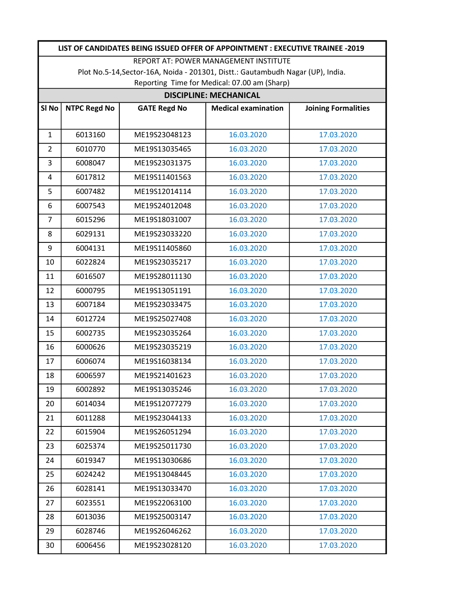|                                                                                 | LIST OF CANDIDATES BEING ISSUED OFFER OF APPOINTMENT : EXECUTIVE TRAINEE -2019 |                     |                            |                            |  |  |  |  |
|---------------------------------------------------------------------------------|--------------------------------------------------------------------------------|---------------------|----------------------------|----------------------------|--|--|--|--|
| REPORT AT: POWER MANAGEMENT INSTITUTE                                           |                                                                                |                     |                            |                            |  |  |  |  |
| Plot No.5-14, Sector-16A, Noida - 201301, Distt.: Gautambudh Nagar (UP), India. |                                                                                |                     |                            |                            |  |  |  |  |
| Reporting Time for Medical: 07.00 am (Sharp)<br><b>DISCIPLINE: MECHANICAL</b>   |                                                                                |                     |                            |                            |  |  |  |  |
| SI <sub>No</sub>                                                                | <b>NTPC Regd No</b>                                                            | <b>GATE Regd No</b> | <b>Medical examination</b> | <b>Joining Formalities</b> |  |  |  |  |
|                                                                                 |                                                                                |                     |                            |                            |  |  |  |  |
| $\mathbf{1}$                                                                    | 6013160                                                                        | ME19S23048123       | 16.03.2020                 | 17.03.2020                 |  |  |  |  |
| $\overline{2}$                                                                  | 6010770                                                                        | ME19S13035465       | 16.03.2020                 | 17.03.2020                 |  |  |  |  |
| 3                                                                               | 6008047                                                                        | ME19S23031375       | 16.03.2020                 | 17.03.2020                 |  |  |  |  |
| 4                                                                               | 6017812                                                                        | ME19S11401563       | 16.03.2020                 | 17.03.2020                 |  |  |  |  |
| 5                                                                               | 6007482                                                                        | ME19S12014114       | 16.03.2020                 | 17.03.2020                 |  |  |  |  |
| 6                                                                               | 6007543                                                                        | ME19S24012048       | 16.03.2020                 | 17.03.2020                 |  |  |  |  |
| $\overline{7}$                                                                  | 6015296                                                                        | ME19S18031007       | 16.03.2020                 | 17.03.2020                 |  |  |  |  |
| 8                                                                               | 6029131                                                                        | ME19S23033220       | 16.03.2020                 | 17.03.2020                 |  |  |  |  |
| 9                                                                               | 6004131                                                                        | ME19S11405860       | 16.03.2020                 | 17.03.2020                 |  |  |  |  |
| 10                                                                              | 6022824                                                                        | ME19S23035217       | 16.03.2020                 | 17.03.2020                 |  |  |  |  |
| 11                                                                              | 6016507                                                                        | ME19S28011130       | 16.03.2020                 | 17.03.2020                 |  |  |  |  |
| 12                                                                              | 6000795                                                                        | ME19S13051191       | 16.03.2020                 | 17.03.2020                 |  |  |  |  |
| 13                                                                              | 6007184                                                                        | ME19S23033475       | 16.03.2020                 | 17.03.2020                 |  |  |  |  |
| 14                                                                              | 6012724                                                                        | ME19S25027408       | 16.03.2020                 | 17.03.2020                 |  |  |  |  |
| 15                                                                              | 6002735                                                                        | ME19S23035264       | 16.03.2020                 | 17.03.2020                 |  |  |  |  |
| 16                                                                              | 6000626                                                                        | ME19S23035219       | 16.03.2020                 | 17.03.2020                 |  |  |  |  |
| 17                                                                              | 6006074                                                                        | ME19S16038134       | 16.03.2020                 | 17.03.2020                 |  |  |  |  |
| 18                                                                              | 6006597                                                                        | ME19S21401623       | 16.03.2020                 | 17.03.2020                 |  |  |  |  |
| 19                                                                              | 6002892                                                                        | ME19S13035246       | 16.03.2020                 | 17.03.2020                 |  |  |  |  |
| 20                                                                              | 6014034                                                                        | ME19S12077279       | 16.03.2020                 | 17.03.2020                 |  |  |  |  |
| 21                                                                              | 6011288                                                                        | ME19S23044133       | 16.03.2020                 | 17.03.2020                 |  |  |  |  |
| 22                                                                              | 6015904                                                                        | ME19S26051294       | 16.03.2020                 | 17.03.2020                 |  |  |  |  |
| 23                                                                              | 6025374                                                                        | ME19S25011730       | 16.03.2020                 | 17.03.2020                 |  |  |  |  |
| 24                                                                              | 6019347                                                                        | ME19S13030686       | 16.03.2020                 | 17.03.2020                 |  |  |  |  |
| 25                                                                              | 6024242                                                                        | ME19S13048445       | 16.03.2020                 | 17.03.2020                 |  |  |  |  |
| 26                                                                              | 6028141                                                                        | ME19S13033470       | 16.03.2020                 | 17.03.2020                 |  |  |  |  |
| 27                                                                              | 6023551                                                                        | ME19S22063100       | 16.03.2020                 | 17.03.2020                 |  |  |  |  |
| 28                                                                              | 6013036                                                                        | ME19S25003147       | 16.03.2020                 | 17.03.2020                 |  |  |  |  |
| 29                                                                              | 6028746                                                                        | ME19S26046262       | 16.03.2020                 | 17.03.2020                 |  |  |  |  |
| 30                                                                              | 6006456                                                                        | ME19S23028120       | 16.03.2020                 | 17.03.2020                 |  |  |  |  |